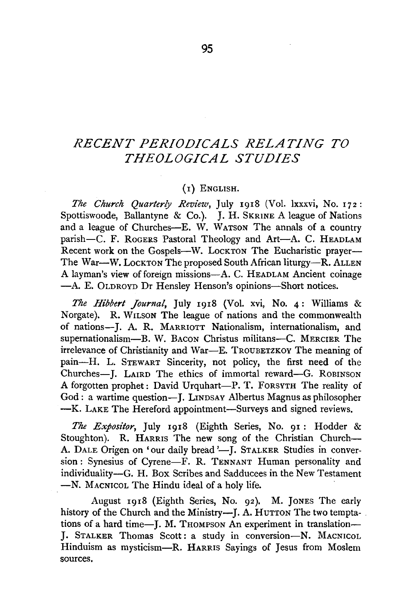## *RECENT PERIODICALS RELATING TO THEOLOGICAL STUDIES*

## (I) ENGLISH.

*The Church Quarterly Review, July 1918 (Vol. lxxxvi, No. 172:* Spottiswoode, Ballantyne & Co.). J. H. SKRINE A league of Nations and a league of Churches--E. W. WATSON The annals of a country parish-C. F. ROGERS Pastoral Theology and Art-A. C. HEADLAM Recent work on the Gospels-W. LockTON The Eucharistic prayer-The War-W. LOCK TON The proposed South African liturgy-R. ALLEN A layman's view of foreign missions-A. C. HEADLAM Ancient coinage -A. E. OLDROYD Dr Hensley Henson's opinions-Short notices.

*The Hibbert Journal*, July 1918 (Vol. xvi, No. 4: Williams & Norgate). R. WILSON The league of nations and the commonwealth of nations-**J.** A. R. MARRIOTT Nationalism, internationalism, and supernationalism-B. W. BACON Christus militans-C. MERCIER The irrelevance of Christianity and War-E. TROUBETZKOY The meaning of pain-H. L. STEWART Sincerity, not policy, the first need of the Churches-**J.** LAIRD The ethics of immortal reward-G. RoBINSON A forgotten prophet: David Urquhart-P. T. FORSYTH The reality of God: a wartime question-**J.** LINDSAY Albertus Magnus as philosopher -K. LAKE The Hereford appointment-Surveys and signed reviews.

*The Expositor,* July I918 (Eighth Series, No. 9I : Hodder & Stoughton). R. HARRIS The new song of the Christian Church-A. DALE Origen on 'our daily bread '-J. STALKER Studies in conversion: Synesius of Cyrene-F. R. TENNANT Human personality and individuality-G. H. Box Scribes and Sadducees in the New Testament -N. MACNICOL The Hindu ideal of a holy life.

August 19I8 (Eighth Series, No. 92). M. JoNES The early history of the Church and the Ministry-I. A. HUTTON The two temptations of a hard time-J. M. THOMPSON An experiment in translation-*].* STALKER Thomas Scott: a study in conversion-N. MACNICOL Hinduism as mysticism-R. HARRIS Sayings of Jesus from Moslem sources.